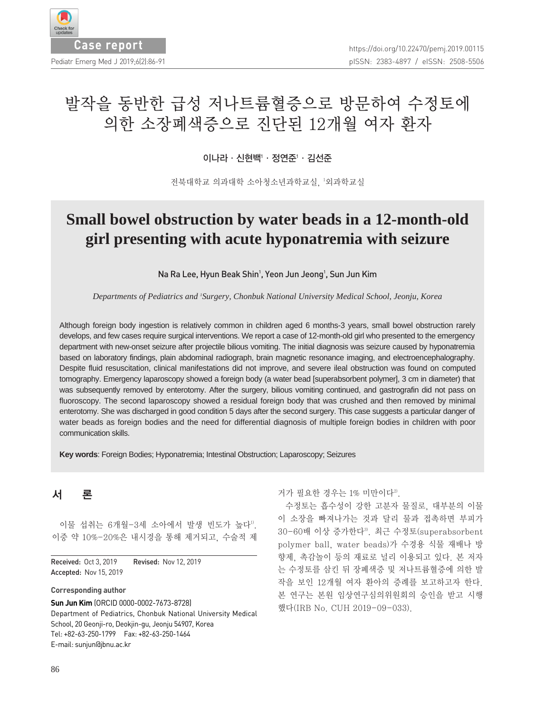

# 발작을 동반한 급성 저나트륨혈증으로 방문하여 수정토에 의한 소장폐색증으로 진단된 12개월 여자 환자

#### 이나라∙신현백'∙정연준'∙김선준

전북대학교 의과대학 소아청소년과학교실, 1 외과학교실

## **Small bowel obstruction by water beads in a 12-month-old girl presenting with acute hyponatremia with seizure**

Na Ra Lee, Hyun Beak Shin<sup>1</sup>, Yeon Jun Jeong<sup>1</sup>, Sun Jun Kim

*Departments of Pediatrics and 1 Surgery, Chonbuk National University Medical School, Jeonju, Korea*

Although foreign body ingestion is relatively common in children aged 6 months-3 years, small bowel obstruction rarely develops, and few cases require surgical interventions. We report a case of 12-month-old girl who presented to the emergency department with new-onset seizure after projectile bilious vomiting. The initial diagnosis was seizure caused by hyponatremia based on laboratory findings, plain abdominal radiograph, brain magnetic resonance imaging, and electroencephalography. Despite fluid resuscitation, clinical manifestations did not improve, and severe ileal obstruction was found on computed tomography. Emergency laparoscopy showed a foreign body (a water bead [superabsorbent polymer], 3 cm in diameter) that was subsequently removed by enterotomy. After the surgery, bilious vomiting continued, and gastrografin did not pass on fluoroscopy. The second laparoscopy showed a residual foreign body that was crushed and then removed by minimal enterotomy. She was discharged in good condition 5 days after the second surgery. This case suggests a particular danger of water beads as foreign bodies and the need for differential diagnosis of multiple foreign bodies in children with poor communication skills.

**Key words**: Foreign Bodies; Hyponatremia; Intestinal Obstruction; Laparoscopy; Seizures

### 서 론

이물 섭취는 6개월-3세 소아에서 발생 빈도가 높다<sup>1)</sup>. 이중 약 10%-20%은 내시경을 통해 제거되고, 수술적 제

Received: Oct 3, 2019 Revised: Nov 12, 2019 Accepted: Nov 15, 2019

#### **Corresponding author**

**Sun Jun Kim** (ORCID 0000-0002-7673-8728) Department of Pediatrics, Chonbuk National University Medical School, 20 Geonji-ro, Deokjin-gu, Jeonju 54907, Korea Tel: +82-63-250-1799 Fax: +82-63-250-1464 E-mail: sunjun@jbnu.ac.kr

거가 필요한 경우는 1% 미만이다<sup>2)</sup>.

수정토는 흡수성이 강한 고분자 물질로, 대부분의 이물 이 소장을 빠져나가는 것과 달리 물과 접촉하면 부피가 30-60배 이상 증가한다3). 최근 수정토(superabsorbent polymer ball, water beads)가 수경용 식물 재배나 방 향제, 촉감놀이 등의 재료로 널리 이용되고 있다. 본 저자 는 수정토를 삼킨 뒤 장폐색증 및 저나트륨혈증에 의한 발 작을 보인 12개월 여자 환아의 증례를 보고하고자 한다. 본 연구는 본원 임상연구심의위원회의 승인을 받고 시행 했다(IRB No. CUH 2019-09-033).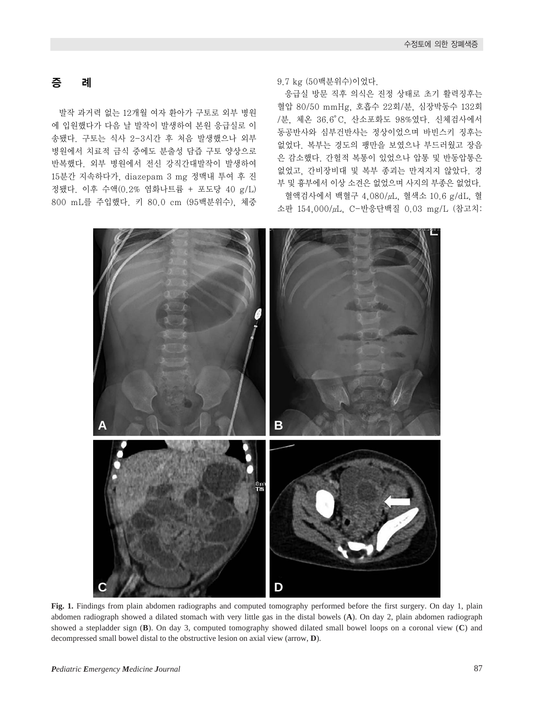### 증 례

발작 과거력 없는 12개월 여자 환아가 구토로 외부 병원 에 입원했다가 다음 날 발작이 발생하여 본원 응급실로 이 송됐다. 구토는 식사 2-3시간 후 처음 발생했으나 외부 병원에서 치료적 금식 중에도 분출성 담즙 구토 양상으로 반복했다. 외부 병원에서 전신 강직간대발작이 발생하여 15분간 지속하다가, diazepam 3 mg 정맥내 투여 후 진 정됐다. 이후 수액(0.2% 염화나트륨 + 포도당 40 g/L) 800 mL를 주입했다. 키 80.0 cm (95백분위수), 체중

9.7 kg (50백분위수)이었다.

응급실 방문 직후 의식은 진정 상태로 초기 활력징후는 혈압 80/50 mmHg, 호흡수 22회/분, 심장박동수 132회 /분, 체온 36.6。C, 산소포화도 98%였다. 신체검사에서 동공반사와 심부건반사는 정상이었으며 바빈스키 징후는 없었다. 복부는 경도의 팽만을 보였으나 부드러웠고 장음 은 감소했다. 간헐적 복통이 있었으나 압통 및 반동압통은 없었고, 간비장비대 및 복부 종괴는 만져지지 않았다. 경 부 및 흉부에서 이상 소견은 없었으며 사지의 부종은 없었다. 혈액검사에서 백혈구 4,080/μL, 혈색소 10.6 g/dL, 혈

소판 154,000/μL, C-반응단백질 0.03 mg/L (참고치:



**Fig. 1.** Findings from plain abdomen radiographs and computed tomography performed before the first surgery. On day 1, plain abdomen radiograph showed a dilated stomach with very little gas in the distal bowels (**A**). On day 2, plain abdomen radiograph showed a stepladder sign (**B**). On day 3, computed tomography showed dilated small bowel loops on a coronal view (**C**) and decompressed small bowel distal to the obstructive lesion on axial view (arrow, **D**).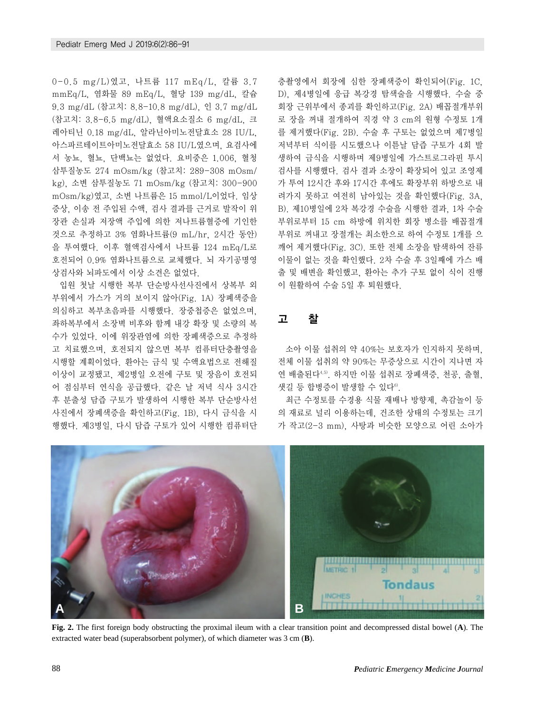0-0.5 mg/L)였고, 나트륨 117 mEq/L, 칼륨 3.7 mmEq/L, 염화물 89 mEq/L, 혈당 139 mg/dL, 칼슘 9.3 mg/dL (참고치: 8.8-10.8 mg/dL), 인 3.7 mg/dL (참고치: 3.8-6.5 mg/dL), 혈액요소질소 6 mg/dL, 크 레아티닌 0.18 mg/dL, 알라닌아미노전달효소 28 IU/L, 아스파르테이트아미노전달효소 58 IU/L였으며, 요검사에 서 농뇨, 혈뇨, 단백뇨는 없었다. 요비중은 1.006, 혈청 삼투질농도 274 mOsm/kg (참고치: 289-308 mOsm/ kg), 소변 삼투질농도 71 mOsm/kg (참고치: 300-900 mOsm/kg)였고, 소변 나트륨은 15 mmol/L이었다. 임상 증상, 이송 전 주입된 수액, 검사 결과를 근거로 발작이 위 장관 손실과 저장액 주입에 의한 저나트륨혈증에 기인한 것으로 추정하고 3% 염화나트륨(9 mL/hr, 2시간 동안) 을 투여했다. 이후 혈액검사에서 나트륨 124 mEq/L로 호전되어 0.9% 염화나트륨으로 교체했다. 뇌 자기공명영 상검사와 뇌파도에서 이상 소견은 없었다.

입원 첫날 시행한 복부 단순방사선사진에서 상복부 외 부위에서 가스가 거의 보이지 않아(Fig. 1A) 장폐색증을 의심하고 복부초음파를 시행했다. 장중첩증은 없었으며, 좌하복부에서 소장벽 비후와 함께 내강 확장 및 소량의 복 수가 있었다. 이에 위장관염에 의한 장폐색증으로 추정하 고 치료했으며, 호전되지 않으면 복부 컴퓨터단층촬영을 시행할 계획이었다. 환아는 금식 및 수액요법으로 전해질 이상이 교정됐고, 제2병일 오전에 구토 및 장음이 호전되 어 점심부터 연식을 공급했다. 같은 날 저녁 식사 3시간 후 분출성 담즙 구토가 발생하여 시행한 복부 단순방사선 사진에서 장폐색증을 확인하고(Fig. 1B), 다시 금식을 시 행했다. 제3병일, 다시 담즙 구토가 있어 시행한 컴퓨터단 층촬영에서 회장에 심한 장폐색증이 확인되어(Fig. 1C, D), 제4병일에 응급 복강경 탐색술을 시행했다. 수술 중 회장 근위부에서 종괴를 확인하고(Fig. 2A) 배꼽절개부위 로 장을 꺼내 절개하여 직경 약 3 cm의 원형 수정토 1개 를 제거했다(Fig. 2B). 수술 후 구토는 없었으며 제7병일 저녁부터 식이를 시도했으나 이튿날 담즙 구토가 4회 발 생하여 금식을 시행하며 제9병일에 가스트로그라핀 투시 검사를 시행했다. 검사 결과 소장이 확장되어 있고 조영제 가 투여 12시간 후와 17시간 후에도 확장부위 하방으로 내 려가지 못하고 여전히 남아있는 것을 확인했다(Fig. 3A, B). 제10병일에 2차 복강경 수술을 시행한 결과, 1차 수술 부위로부터 15 cm 하방에 위치한 회장 병소를 배꼽절개 부위로 꺼내고 장절개는 최소한으로 하여 수정토 1개를 으 깨어 제거했다(Fig. 3C). 또한 전체 소장을 탐색하여 잔류 이물이 없는 것을 확인했다. 2차 수술 후 3일째에 가스 배 출 및 배변을 확인했고, 환아는 추가 구토 없이 식이 진행 이 원활하여 수술 5일 후 퇴원했다.

#### 고 찰

소아 이물 섭취의 약 40%는 보호자가 인지하지 못하며, 전체 이물 섭취의 약 90%는 무증상으로 시간이 지나면 자 연 배출된다4,5). 하지만 이물 섭취로 장폐색증, 천공, 출혈,  $\mathcal{H}$ 길 등 합병증이 발생할 수 있다<sup>6)</sup>.

최근 수정토를 수경용 식물 재배나 방향제, 촉감놀이 등 의 재료로 널리 이용하는데, 건조한 상태의 수정토는 크기 가 작고(2-3 mm), 사탕과 비슷한 모양으로 어린 소아가



**Fig. 2.** The first foreign body obstructing the proximal ileum with a clear transition point and decompressed distal bowel (**A**). The extracted water bead (superabsorbent polymer), of which diameter was 3 cm (**B**).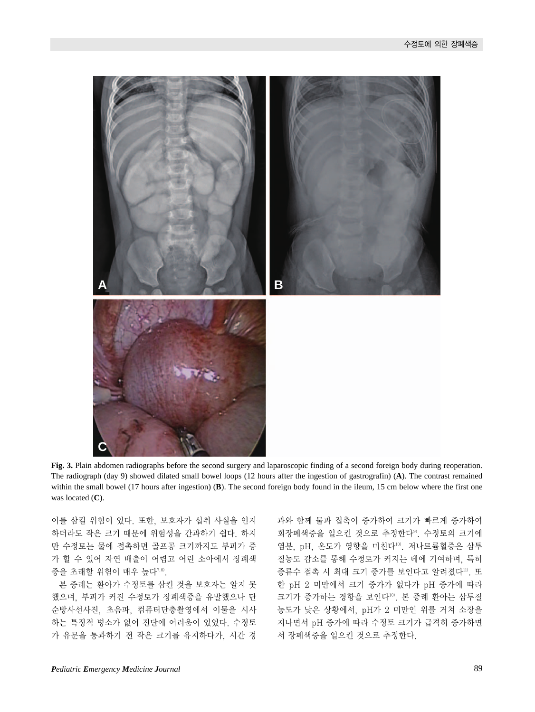

**Fig. 3.** Plain abdomen radiographs before the second surgery and laparoscopic finding of a second foreign body during reoperation. The radiograph (day 9) showed dilated small bowel loops (12 hours after the ingestion of gastrografin) (**A**). The contrast remained within the small bowel (17 hours after ingestion) (**B**). The second foreign body found in the ileum, 15 cm below where the first one was located (**C**).

이를 삼킬 위험이 있다. 또한, 보호자가 섭취 사실을 인지 하더라도 작은 크기 때문에 위험성을 간과하기 쉽다. 하지 만 수정토는 물에 접촉하면 골프공 크기까지도 부피가 증 가 할 수 있어 자연 배출이 어렵고 어린 소아에서 장폐색 증을 초래할 위험이 매우 높다7,8).

본 증례는 환아가 수정토를 삼킨 것을 보호자는 알지 못 했으며, 부피가 커진 수정토가 장폐색증을 유발했으나 단 순방사선사진, 초음파, 컴퓨터단층촬영에서 이물을 시사 하는 특징적 병소가 없어 진단에 어려움이 있었다. 수정토 가 유문을 통과하기 전 작은 크기를 유지하다가, 시간 경

과와 함께 물과 접촉이 증가하여 크기가 빠르게 증가하여 회장폐색증을 일으킨 것으로 추정한다<sup>9</sup>. 수정토의 크기에 염분, pH, 온도가 영향을 미친다<sup>10</sup>. 저나트륨혈증은 삼투 질농도 감소를 통해 수정토가 커지는 데에 기여하며, 특히 증류수 접촉 시 최대 크기 증가를 보인다고 알려졌다". 또 한 pH 2 미만에서 크기 증가가 없다가 pH 증가에 따라 크기가 증가하는 경향을 보인다10). 본 증례 환아는 삼투질 농도가 낮은 상황에서, pH가 2 미만인 위를 거쳐 소장을 지나면서 pH 증가에 따라 수정토 크기가 급격히 증가하면 서 장폐색증을 일으킨 것으로 추정한다.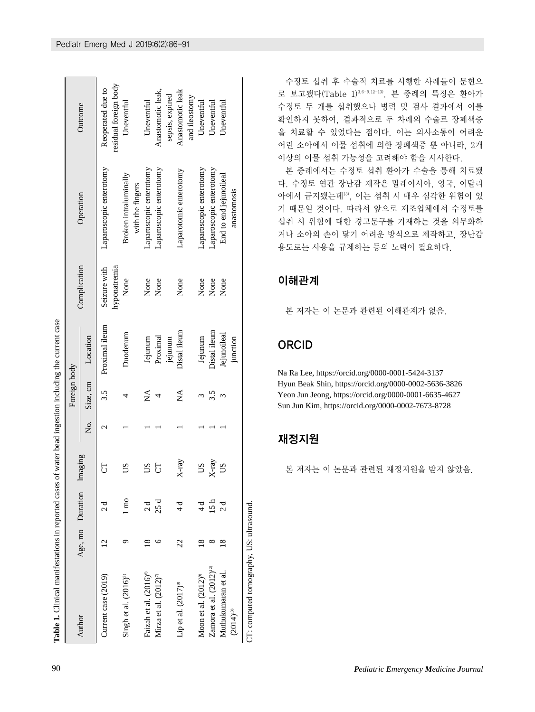| Table 1. Clinical manifestations in reported cases |                         |                  |         |    |              | of water bead ingestion including the current case |                              |                                           |                                            |
|----------------------------------------------------|-------------------------|------------------|---------|----|--------------|----------------------------------------------------|------------------------------|-------------------------------------------|--------------------------------------------|
|                                                    |                         |                  |         |    | Foreign body |                                                    |                              |                                           |                                            |
| Author                                             |                         | Age, mo Duration | Imaging | Ż. | Size, cm     | Location                                           | Complication                 | Operation                                 | Outcome                                    |
| Current case (2019)                                | N                       | $\frac{d}{2}$    | 5       | ٢  | 3.5          | Proximal ileum                                     | hyponatremia<br>Seizure with | Laparoscopic enterotomy                   | residual foreign body<br>Reoperated due to |
| Singh et al. $(2016)^3$                            |                         | l mo             | SO      |    |              | Duodenum                                           | None                         | Broken intraluminally<br>with the fingers | Uneventul                                  |
| Faizah et al. (2016) <sup>®</sup>                  | ∞                       | $\frac{d}{2}$    | SQ      |    | $\mathbb{A}$ | Jejunum                                            | None                         | Laparoscopic enterotomy                   | Uneventul                                  |
| Mirza et al. (2012) <sup>7</sup>                   |                         | 25 d             | 5       |    |              | Proximal                                           | None                         | Laparoscopic enterotomy                   | Anastomotic leak,                          |
|                                                    |                         |                  |         |    |              | jejunum                                            |                              |                                           | sepsis, expired                            |
| Lip et al. (2017) <sup>8</sup>                     | 22                      |                  | $X-ray$ |    | Ź            | Distal ileum                                       | None                         | Laparotomic enterotomy                    | Anastomotic leak                           |
|                                                    |                         |                  |         |    |              |                                                    |                              |                                           | and ileostomy                              |
| Moon et al. $(2012)$ <sup>99</sup>                 |                         | $\frac{1}{4}$    | SO      |    |              | Jejunum                                            | None                         | Laparoscopic enterotomy                   | Uneventul                                  |
| Zamora et al. $(2012)^{12}$                        |                         | 15 <sub>h</sub>  | $X-ray$ |    | 3.5          | Distal ileum                                       | None                         | Laparoscopic enterotomy                   | Uneventul                                  |
| Muthukumaran et al.                                | $\overline{\mathbf{8}}$ | $\frac{d}{2}$    | SO      |    | Σ            | Jejunoileal                                        | None                         | End to end jejunoileal                    | Jneventul                                  |
| $(2014)^{13}$                                      |                         |                  |         |    |              | junction                                           |                              | anastomosis                               |                                            |
| CT: computed tomography, US: ultrasound            |                         |                  |         |    |              |                                                    |                              |                                           |                                            |

수정토 섭취 후 수술적 치료를 시행한 사례들이 문헌으 로 보고됐다(Table 1)3,6-9,12-13). 본 증례의 특징은 환아가 수정토 두 개를 섭취했으나 병력 및 검사 결과에서 이를 확인하지 못하여, 결과적으로 두 차례의 수술로 장폐색증 을 치료할 수 있었다는 점이다. 이는 의사소통이 어려운 어린 소아에서 이물 섭취에 의한 장폐색증 뿐 아니라, 2개 이상의 이물 섭취 가능성을 고려해야 함을 시사한다.

본 증례에서는 수정토 섭취 환아가 수술을 통해 치료됐 다. 수정토 연관 장난감 제작은 말레이시아, 영국, 이탈리 아에서 금지됐는데13), 이는 섭취 시 매우 심각한 위험이 있 기 때문일 것이다. 따라서 앞으로 제조업체에서 수정토를 섭취 시 위험에 대한 경고문구를 기재하는 것을 의무화하 거나 소아의 손이 닿기 어려운 방식으로 제작하고, 장난감 용도로는 사용을 규제하는 등의 노력이 필요하다.

### 이해관계

본 저자는 이 논문과 관련된 이해관계가 없음.

## ORCID

Na Ra Lee, https://orcid.org/0000-0001-5424-3137 Hyun Beak Shin, https://orcid.org/0000-0002-5636-3826 Yeon Jun Jeong, https://orcid.org/0000-0001-6635-4627 Sun Jun Kim, https://orcid.org/0000-0002-7673-8728

## 재정지원

본 저자는 이 논문과 관련된 재정지원을 받지 않았음.